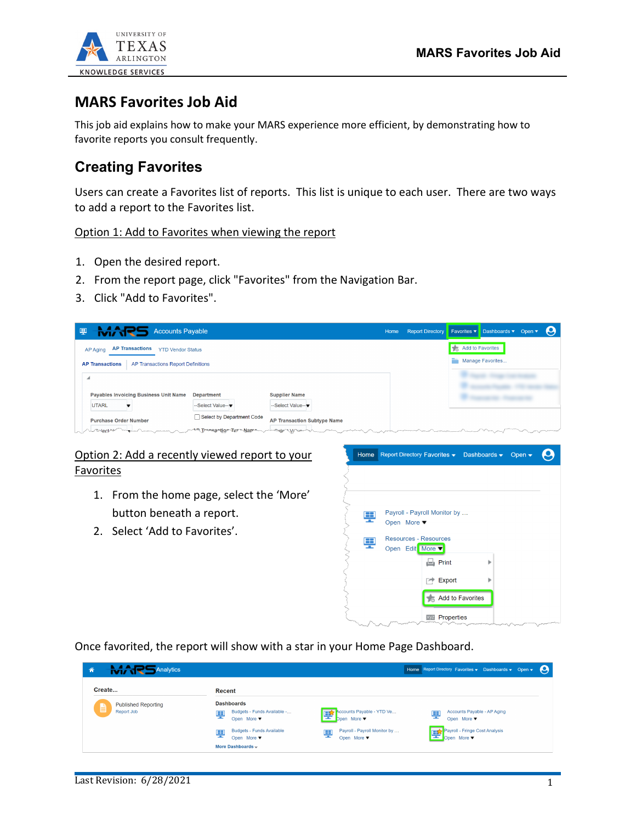

# **MARS Favorites Job Aid**

This job aid explains how to make your MARS experience more efficient, by demonstrating how to favorite reports you consult frequently.

# **Creating Favorites**

Users can create a Favorites list of reports. This list is unique to each user. There are two ways to add a report to the Favorites list.

#### Option 1: Add to Favorites when viewing the report

- 1. Open the desired report.
- 2. From the report page, click "Favorites" from the Navigation Bar.
- 3. Click "Add to Favorites".

| MARS<br>粵<br><b>Accounts Payable</b>                                  |                                                |                                                        | Home | <b>Report Directory</b> |                                            | Favorites ▼ Dashboards ▼ Open ▼      |  |
|-----------------------------------------------------------------------|------------------------------------------------|--------------------------------------------------------|------|-------------------------|--------------------------------------------|--------------------------------------|--|
| <b>AP Transactions</b><br><b>YTD Vendor Status</b><br><b>AP Aging</b> |                                                |                                                        |      |                         | $\pm$<br>۰.                                | Add to Favorites<br>Manage Favorites |  |
| AP Transactions Report Definitions<br><b>AP Transactions</b>          |                                                |                                                        |      |                         |                                            |                                      |  |
| <b>Payables Invoicing Business Unit Name</b>                          | <b>Department</b>                              | <b>Supplier Name</b>                                   |      |                         |                                            |                                      |  |
| <b>UTARL</b><br><b>Purchase Order Number</b>                          | --Select Value--<br>Select by Department Code  | --Select Value--<br><b>AP Transaction Subtype Name</b> |      |                         |                                            |                                      |  |
| Lunionective<br>Viscol Severan processors and                         | me Transpotion Type Name mucolo Viruant in man |                                                        |      |                         | Service Services and Services and Services |                                      |  |

### Option 2: Add a recently viewed report to your Favorites

- 1. From the home page, select the 'More' button beneath a report.
- 2. Select 'Add to Favorites'.



Once favorited, the report will show with a star in your Home Page Dashboard.

|                                                                      |                                                  |                                                  | Q                                                     |
|----------------------------------------------------------------------|--------------------------------------------------|--------------------------------------------------|-------------------------------------------------------|
| Recent                                                               |                                                  |                                                  |                                                       |
| <b>Dashboards</b><br>Budgets - Funds Available -<br>里<br>Open More ▼ | Accounts Payable - YTD Ve<br>擥<br>Dpen More ▼    | Accounts Payable - AP Aging<br>ę<br>Open More ▼  |                                                       |
| <b>Budgets - Funds Available</b><br>ę<br>Open More ▼                 | Payroll - Payroll Monitor by<br>뚜<br>Open More v | Payroll - Fringe Cost Analysis<br>띞<br>Open More |                                                       |
|                                                                      | More Dashboards ~                                |                                                  | Home Report Directory Favorites v Dashboards v Open v |